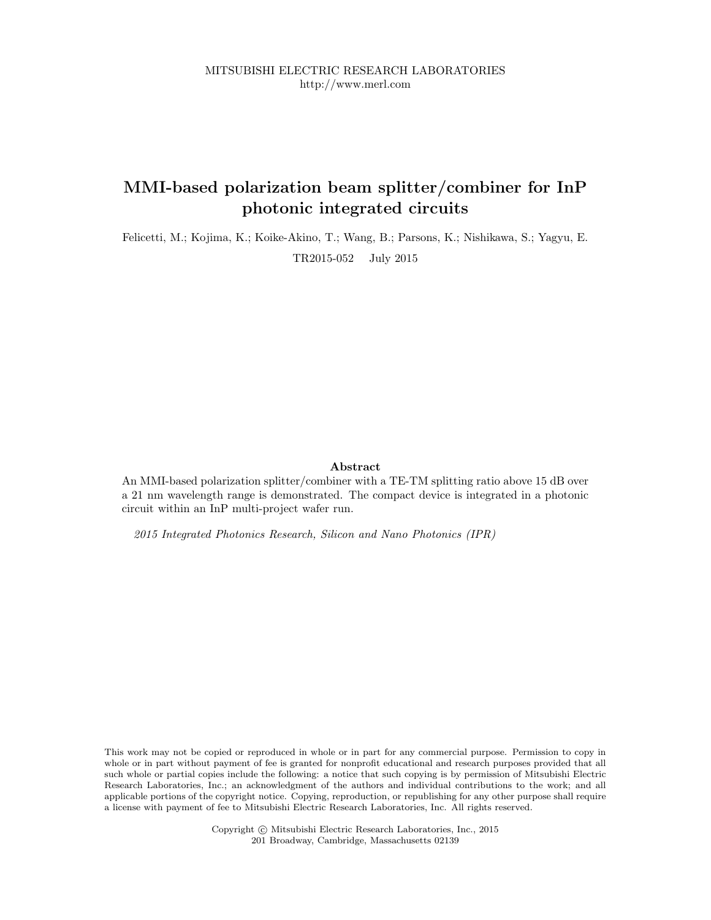# MMI-based polarization beam splitter/combiner for InP photonic integrated circuits

Felicetti, M.; Kojima, K.; Koike-Akino, T.; Wang, B.; Parsons, K.; Nishikawa, S.; Yagyu, E. TR2015-052 July 2015

# Abstract

An MMI-based polarization splitter/combiner with a TE-TM splitting ratio above 15 dB over a 21 nm wavelength range is demonstrated. The compact device is integrated in a photonic circuit within an InP multi-project wafer run.

2015 Integrated Photonics Research, Silicon and Nano Photonics (IPR)

This work may not be copied or reproduced in whole or in part for any commercial purpose. Permission to copy in whole or in part without payment of fee is granted for nonprofit educational and research purposes provided that all such whole or partial copies include the following: a notice that such copying is by permission of Mitsubishi Electric Research Laboratories, Inc.; an acknowledgment of the authors and individual contributions to the work; and all applicable portions of the copyright notice. Copying, reproduction, or republishing for any other purpose shall require a license with payment of fee to Mitsubishi Electric Research Laboratories, Inc. All rights reserved.

> Copyright © Mitsubishi Electric Research Laboratories, Inc., 2015 201 Broadway, Cambridge, Massachusetts 02139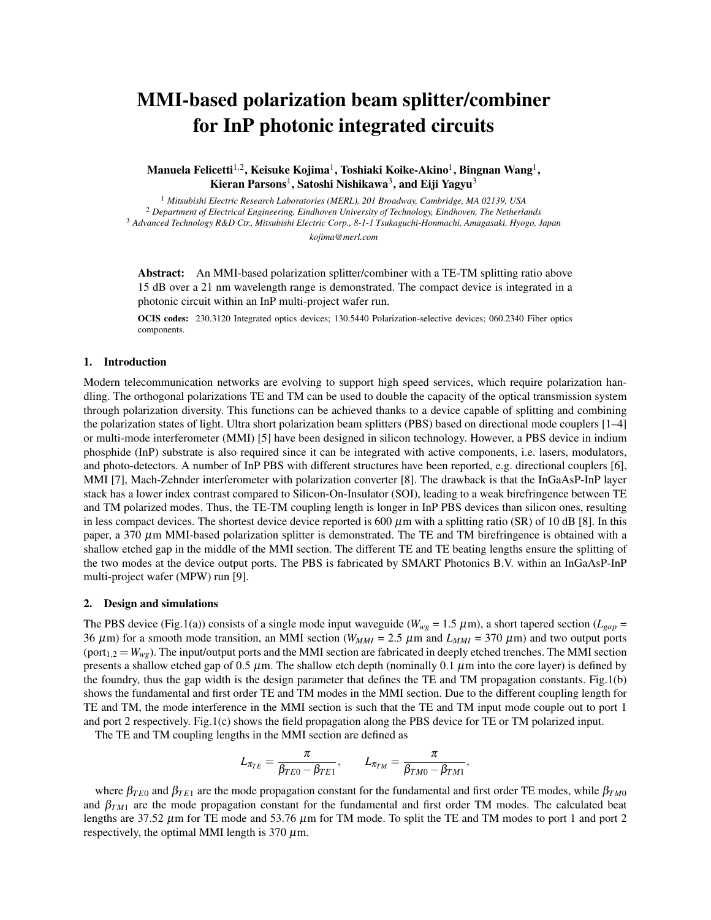# MMI-based polarization beam splitter/combiner for InP photonic integrated circuits

Manuela Felicetti $^{1,2}$ , Keisuke Kojima $^1$ , Toshiaki Koike-Akino $^1$ , Bingnan Wang $^1$ , Kieran Parsons $^1$ , Satoshi Nishikawa $^3$ , and Eiji Yagyu $^3$ 

 *Mitsubishi Electric Research Laboratories (MERL), 201 Broadway, Cambridge, MA 02139, USA Department of Electrical Engineering, Eindhoven University of Technology, Eindhoven, The Netherlands Advanced Technology R&D Ctr., Mitsubishi Electric Corp., 8-1-1 Tsukaguchi-Honmachi, Amagasaki, Hyogo, Japan kojima@merl.com*

Abstract: An MMI-based polarization splitter/combiner with a TE-TM splitting ratio above 15 dB over a 21 nm wavelength range is demonstrated. The compact device is integrated in a photonic circuit within an InP multi-project wafer run.

OCIS codes: 230.3120 Integrated optics devices; 130.5440 Polarization-selective devices; 060.2340 Fiber optics components.

### 1. Introduction

Modern telecommunication networks are evolving to support high speed services, which require polarization handling. The orthogonal polarizations TE and TM can be used to double the capacity of the optical transmission system through polarization diversity. This functions can be achieved thanks to a device capable of splitting and combining the polarization states of light. Ultra short polarization beam splitters (PBS) based on directional mode couplers [1–4] or multi-mode interferometer (MMI) [5] have been designed in silicon technology. However, a PBS device in indium phosphide (InP) substrate is also required since it can be integrated with active components, i.e. lasers, modulators, and photo-detectors. A number of InP PBS with different structures have been reported, e.g. directional couplers [6], MMI [7], Mach-Zehnder interferometer with polarization converter [8]. The drawback is that the InGaAsP-InP layer stack has a lower index contrast compared to Silicon-On-Insulator (SOI), leading to a weak birefringence between TE and TM polarized modes. Thus, the TE-TM coupling length is longer in InP PBS devices than silicon ones, resulting in less compact devices. The shortest device device reported is 600  $\mu$ m with a splitting ratio (SR) of 10 dB [8]. In this paper, a 370  $\mu$ m MMI-based polarization splitter is demonstrated. The TE and TM birefringence is obtained with a shallow etched gap in the middle of the MMI section. The different TE and TE beating lengths ensure the splitting of the two modes at the device output ports. The PBS is fabricated by SMART Photonics B.V. within an InGaAsP-InP multi-project wafer (MPW) run [9].

#### 2. Design and simulations

The PBS device (Fig.1(a)) consists of a single mode input waveguide ( $W_{wg} = 1.5 \ \mu$ m), a short tapered section ( $L_{gap} =$ 36  $\mu$ m) for a smooth mode transition, an MMI section ( $W_{MMI} = 2.5 \mu$ m and  $L_{MMI} = 370 \mu$ m) and two output ports (port<sub>1,2</sub> =  $W_{wg}$ ). The input/output ports and the MMI section are fabricated in deeply etched trenches. The MMI section presents a shallow etched gap of 0.5  $\mu$ m. The shallow etch depth (nominally 0.1  $\mu$ m into the core layer) is defined by the foundry, thus the gap width is the design parameter that defines the TE and TM propagation constants. Fig.1(b) shows the fundamental and first order TE and TM modes in the MMI section. Due to the different coupling length for TE and TM, the mode interference in the MMI section is such that the TE and TM input mode couple out to port 1 and port 2 respectively. Fig.1(c) shows the field propagation along the PBS device for TE or TM polarized input.

The TE and TM coupling lengths in the MMI section are defined as

$$
L_{\pi_{TE}}=\frac{\pi}{\beta_{TE0}-\beta_{TE1}},\qquad L_{\pi_{TM}}=\frac{\pi}{\beta_{TM0}-\beta_{TM1}}
$$

,

where  $\beta_{TE0}$  and  $\beta_{TE1}$  are the mode propagation constant for the fundamental and first order TE modes, while  $\beta_{TM0}$ and  $\beta_{TM1}$  are the mode propagation constant for the fundamental and first order TM modes. The calculated beat lengths are 37.52  $\mu$ m for TE mode and 53.76  $\mu$ m for TM mode. To split the TE and TM modes to port 1 and port 2 respectively, the optimal MMI length is 370  $\mu$ m.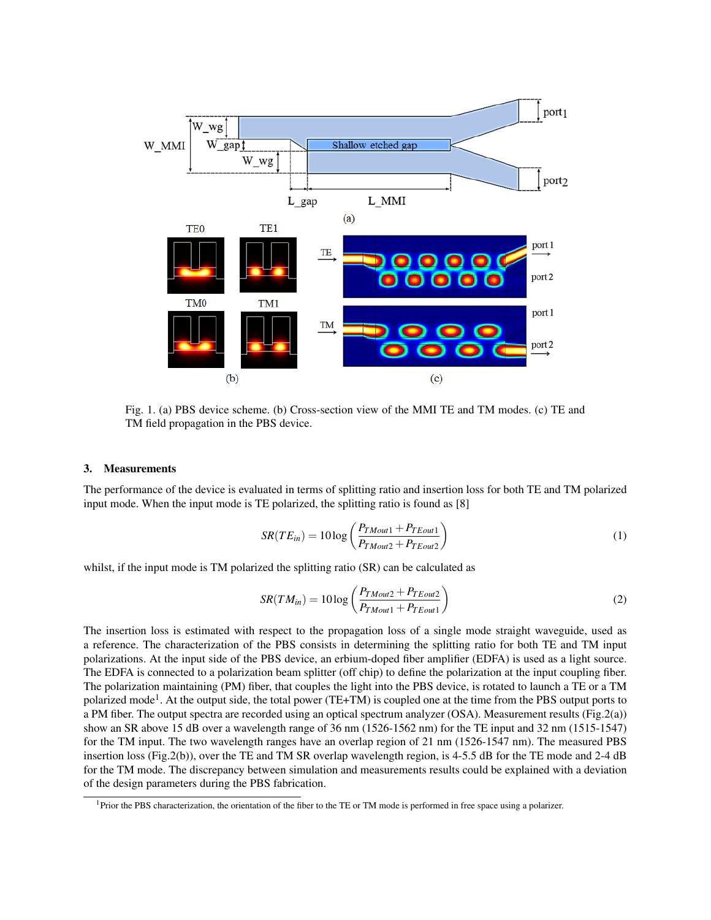

Fig. 1. (a) PBS device scheme. (b) Cross-section view of the MMI TE and TM modes. (c) TE and TM field propagation in the PBS device.

#### 3. Measurements

The performance of the device is evaluated in terms of splitting ratio and insertion loss for both TE and TM polarized input mode. When the input mode is TE polarized, the splitting ratio is found as [8]

$$
SR(TE_{in}) = 10 \log \left( \frac{P_{TMout1} + P_{TEout1}}{P_{TMout2} + P_{TEout2}} \right)
$$
 (1)

whilst, if the input mode is TM polarized the splitting ratio (SR) can be calculated as

$$
SR(TM_{in}) = 10 \log \left( \frac{P_{TMout2} + P_{TEout2}}{P_{TMout1} + P_{TEout1}} \right)
$$
 (2)

The insertion loss is estimated with respect to the propagation loss of a single mode straight waveguide, used as a reference. The characterization of the PBS consists in determining the splitting ratio for both TE and TM input polarizations. At the input side of the PBS device, an erbium-doped fiber amplifier (EDFA) is used as a light source. The EDFA is connected to a polarization beam splitter (off chip) to define the polarization at the input coupling fiber. The polarization maintaining (PM) fiber, that couples the light into the PBS device, is rotated to launch a TE or a TM polarized mode<sup>1</sup>. At the output side, the total power (TE+TM) is coupled one at the time from the PBS output ports to a PM fiber. The output spectra are recorded using an optical spectrum analyzer (OSA). Measurement results (Fig.2(a)) show an SR above 15 dB over a wavelength range of 36 nm (1526-1562 nm) for the TE input and 32 nm (1515-1547) for the TM input. The two wavelength ranges have an overlap region of 21 nm (1526-1547 nm). The measured PBS insertion loss (Fig.2(b)), over the TE and TM SR overlap wavelength region, is 4-5.5 dB for the TE mode and 2-4 dB for the TM mode. The discrepancy between simulation and measurements results could be explained with a deviation of the design parameters during the PBS fabrication.

 ${}^{1}$ Prior the PBS characterization, the orientation of the fiber to the TE or TM mode is performed in free space using a polarizer.